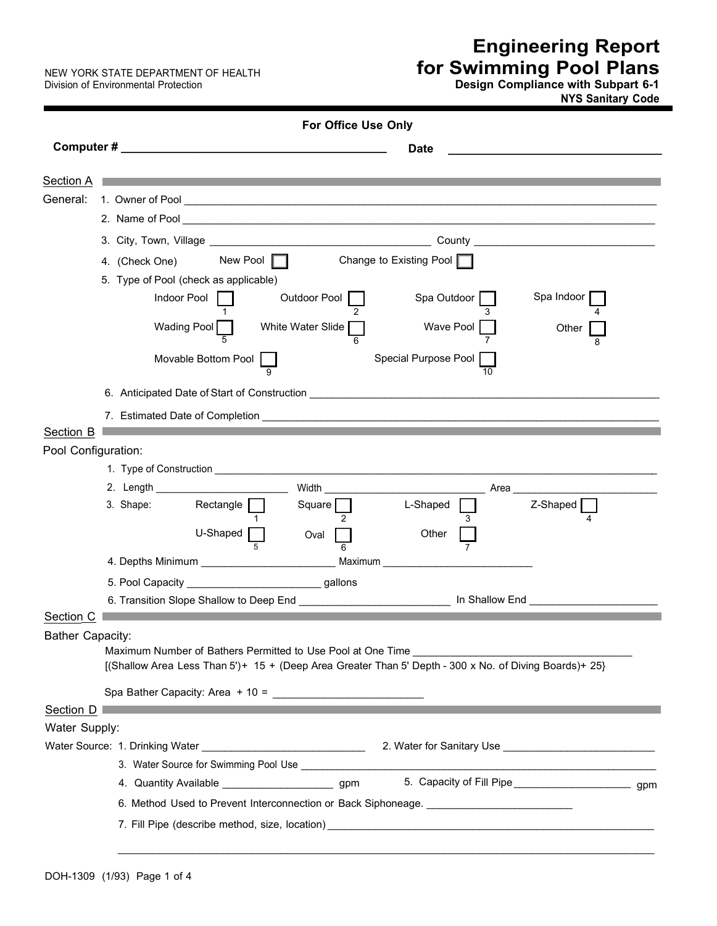NEW YORK STATE DEPARTMENT OF HEALTH<br>Division of Environmental Protection

## **Engineering Report for Swimming Pool Plans**

Division of Environmental Protection **Design Compliance with Subpart 6-1 NYS Sanitary Code** 

|                         | <b>For Office Use Only</b>                                                                                                                                    |
|-------------------------|---------------------------------------------------------------------------------------------------------------------------------------------------------------|
|                         | <b>Date</b>                                                                                                                                                   |
| <b>Section A</b>        | <u> 1989 - Jan Salaman a San Tanzania a Tsaran a Tsaran a Tsaran a Tsaran a Tsaran a Tsaran a Tsaran a Tsaran a T</u>                                         |
| General:                |                                                                                                                                                               |
|                         |                                                                                                                                                               |
|                         |                                                                                                                                                               |
|                         | New Pool $\Box$<br>Change to Existing Pool                                                                                                                    |
|                         | 4. (Check One)                                                                                                                                                |
|                         | 5. Type of Pool (check as applicable)<br>Spa Indoor<br>Indoor Pool<br>Spa Outdoor<br>Outdoor Pool                                                             |
|                         |                                                                                                                                                               |
|                         | Wading Pool<br>White Water Slide<br>Wave Pool<br>Other                                                                                                        |
|                         | Movable Bottom Pool<br>Special Purpose Pool                                                                                                                   |
|                         |                                                                                                                                                               |
|                         |                                                                                                                                                               |
|                         |                                                                                                                                                               |
| Section B               |                                                                                                                                                               |
| Pool Configuration:     |                                                                                                                                                               |
|                         |                                                                                                                                                               |
|                         |                                                                                                                                                               |
|                         | $\mathsf{Rectangle}$ $\lceil$<br>Square    <br>Z-Shaped  <br>3. Shape:<br>L-Shaped                                                                            |
|                         | U-Shaped [<br>Other<br>Oval                                                                                                                                   |
|                         |                                                                                                                                                               |
|                         |                                                                                                                                                               |
|                         | 5. Pool Capacity _______________________________gallons<br>6. Transition Slope Shallow to Deep End ___________________________ In Shallow End _______________ |
| Section C               |                                                                                                                                                               |
| <b>Bather Capacity:</b> |                                                                                                                                                               |
|                         | Maximum Number of Bathers Permitted to Use Pool at One Time                                                                                                   |
|                         | [(Shallow Area Less Than 5')+ 15 + (Deep Area Greater Than 5' Depth - 300 x No. of Diving Boards)+ 25}                                                        |
|                         | Spa Bather Capacity: Area + 10 = $\frac{1}{2}$                                                                                                                |
|                         | Section D                                                                                                                                                     |
| Water Supply:           |                                                                                                                                                               |
|                         |                                                                                                                                                               |
|                         |                                                                                                                                                               |
|                         | 5. Capacity of Fill Pipe_______________________________gpm<br>4. Quantity Available ____________________________gpm                                           |
|                         | 6. Method Used to Prevent Interconnection or Back Siphoneage. ___________________                                                                             |
|                         |                                                                                                                                                               |
|                         |                                                                                                                                                               |

 $\_$  ,  $\_$  ,  $\_$  ,  $\_$  ,  $\_$  ,  $\_$  ,  $\_$  ,  $\_$  ,  $\_$  ,  $\_$  ,  $\_$  ,  $\_$  ,  $\_$  ,  $\_$  ,  $\_$  ,  $\_$  ,  $\_$  ,  $\_$  ,  $\_$  ,  $\_$  ,  $\_$  ,  $\_$  ,  $\_$  ,  $\_$  ,  $\_$  ,  $\_$  ,  $\_$  ,  $\_$  ,  $\_$  ,  $\_$  ,  $\_$  ,  $\_$  ,  $\_$  ,  $\_$  ,  $\_$  ,  $\_$  ,  $\_$  ,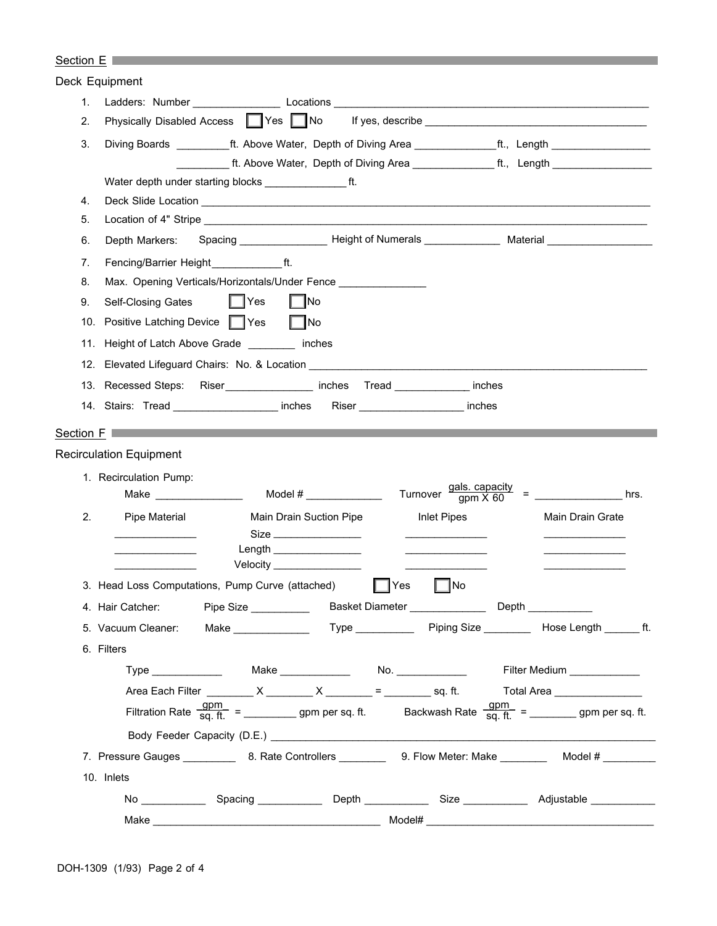|                | Section $E \Box$                                                                                                                            |  |  |  |  |  |  |
|----------------|---------------------------------------------------------------------------------------------------------------------------------------------|--|--|--|--|--|--|
| Deck Equipment |                                                                                                                                             |  |  |  |  |  |  |
| 1.             |                                                                                                                                             |  |  |  |  |  |  |
| 2.             | Physically Disabled Access   Yes   No                                                                                                       |  |  |  |  |  |  |
| 3.             | Diving Boards ___________ft. Above Water, Depth of Diving Area _______________ft., Length ___________________                               |  |  |  |  |  |  |
|                | __________ ft. Above Water, Depth of Diving Area ________________ ft., _Length __________________                                           |  |  |  |  |  |  |
|                | Water depth under starting blocks ________________________ ft.                                                                              |  |  |  |  |  |  |
| 4.             |                                                                                                                                             |  |  |  |  |  |  |
| 5.             |                                                                                                                                             |  |  |  |  |  |  |
| 6.             | Depth Markers:                                                                                                                              |  |  |  |  |  |  |
| 7.             | Fencing/Barrier Height ft.                                                                                                                  |  |  |  |  |  |  |
| 8.             | Max. Opening Verticals/Horizontals/Under Fence                                                                                              |  |  |  |  |  |  |
| 9.             | $\parallel$ TYes<br>$\neg$ No<br>Self-Closing Gates                                                                                         |  |  |  |  |  |  |
| 10.            | Positive Latching Device   Yes<br>l INo                                                                                                     |  |  |  |  |  |  |
| 11.            | Height of Latch Above Grade _________ inches                                                                                                |  |  |  |  |  |  |
|                | 12. Elevated Lifeguard Chairs: No. & Location __________________________________                                                            |  |  |  |  |  |  |
|                | 13. Recessed Steps: Riser ________________ inches Tread _____________ inches                                                                |  |  |  |  |  |  |
|                | 14. Stairs: Tread ______________________ inches Riser ______________________ inches                                                         |  |  |  |  |  |  |
|                | Section F                                                                                                                                   |  |  |  |  |  |  |
|                | <b>Recirculation Equipment</b>                                                                                                              |  |  |  |  |  |  |
|                | 1. Recirculation Pump:                                                                                                                      |  |  |  |  |  |  |
|                | Turnover gals. capacity<br>gpm X 60<br>Make $\qquad$<br>hrs.                                                                                |  |  |  |  |  |  |
| 2.             | Pipe Material<br>Main Drain Suction Pipe<br>Inlet Pipes<br>Main Drain Grate                                                                 |  |  |  |  |  |  |
|                | Size ________________<br>the control of the control of the control of                                                                       |  |  |  |  |  |  |
|                | the control of the control of the control of                                                                                                |  |  |  |  |  |  |
|                | Velocity ________________                                                                                                                   |  |  |  |  |  |  |
|                | 3. Head Loss Computations, Pump Curve (attached)<br>$\overline{\phantom{a}}$ No<br>Yes                                                      |  |  |  |  |  |  |
|                | 4. Hair Catcher: Pipe Size ____________ Basket Diameter _______________ Depth __________                                                    |  |  |  |  |  |  |
|                |                                                                                                                                             |  |  |  |  |  |  |
|                | 6. Filters                                                                                                                                  |  |  |  |  |  |  |
|                | Type _______________  Make _____________  No. _______________<br>Filter Medium _____________                                                |  |  |  |  |  |  |
|                | Area Each Filter _________ X _______ X ________ = _______ sq. ft. Total Area ______________                                                 |  |  |  |  |  |  |
|                | Filtration Rate $\frac{gpm}{sq. ft.}$ = ________________ gpm per sq. ft. Backwash Rate $\frac{gpm}{sq. ft.}$ = ____________ gpm per sq. ft. |  |  |  |  |  |  |
|                |                                                                                                                                             |  |  |  |  |  |  |
|                | 7. Pressure Gauges _____________ 8. Rate Controllers _____________ 9. Flow Meter: Make ____________ Model # _________                       |  |  |  |  |  |  |
|                | 10. Inlets                                                                                                                                  |  |  |  |  |  |  |
|                |                                                                                                                                             |  |  |  |  |  |  |
|                | Model#<br>Make <b>Make Make</b>                                                                                                             |  |  |  |  |  |  |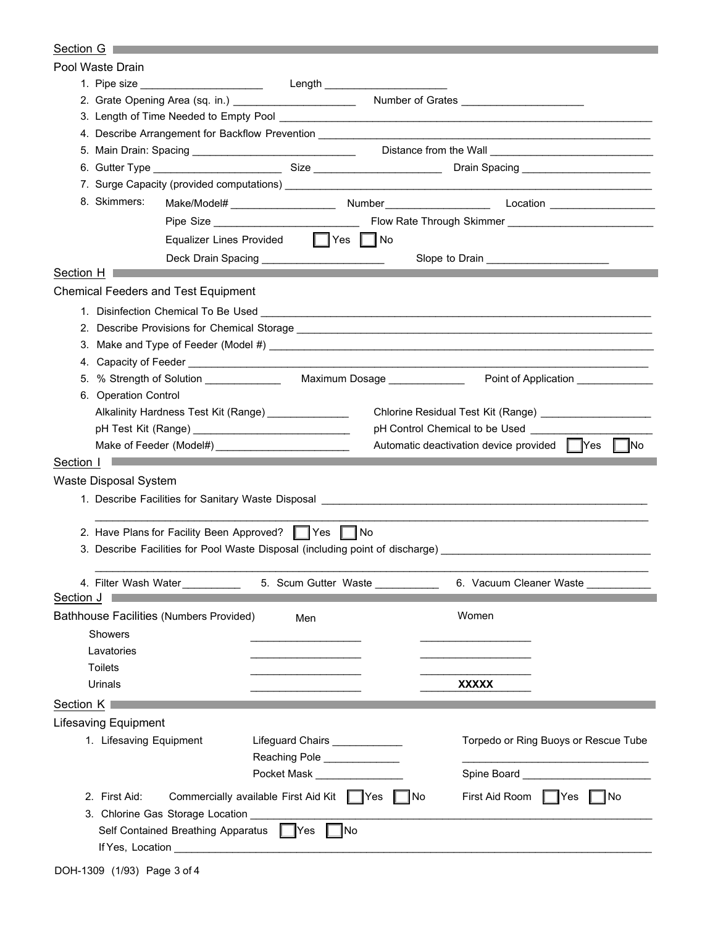## Section G **Section G**

|           | Pool Waste Drain            |                                                                                                                       |                                |                                                                                                                             |
|-----------|-----------------------------|-----------------------------------------------------------------------------------------------------------------------|--------------------------------|-----------------------------------------------------------------------------------------------------------------------------|
|           |                             | 1. Pipe size _________________________                                                                                | Length _______________________ |                                                                                                                             |
|           |                             | 2. Grate Opening Area (sq. in.) ________________________                                                              |                                | Number of Grates ________________________                                                                                   |
|           |                             |                                                                                                                       |                                | 3. Length of Time Needed to Empty Pool <b>Construction Construction Construction</b> Construction Construction Construction |
|           |                             | 4. Describe Arrangement for Backflow Prevention __________________                                                    |                                |                                                                                                                             |
|           |                             |                                                                                                                       |                                | 5. Main Drain: Spacing __________________________________  Distance from the Wall ___________________________               |
|           |                             |                                                                                                                       |                                | 6. Gutter Type _______________________________Size ______________________________Drain Spacing _____________________        |
|           |                             |                                                                                                                       |                                |                                                                                                                             |
|           | 8. Skimmers:                |                                                                                                                       |                                |                                                                                                                             |
|           |                             |                                                                                                                       |                                |                                                                                                                             |
|           |                             | Equalizer Lines Provided   Yes   No                                                                                   |                                |                                                                                                                             |
|           |                             | Deck Drain Spacing _______________________                                                                            |                                | Slope to Drain _______________________                                                                                      |
| Section H |                             | <u> 1989 - Johann Barnett, mars et al. 1989 - Anna ann an t-Anna ann an t-Anna ann an t-Anna ann an t-Anna ann an</u> |                                |                                                                                                                             |
|           |                             | <b>Chemical Feeders and Test Equipment</b>                                                                            |                                |                                                                                                                             |
|           |                             |                                                                                                                       |                                |                                                                                                                             |
|           |                             |                                                                                                                       |                                |                                                                                                                             |
|           |                             |                                                                                                                       |                                |                                                                                                                             |
|           |                             |                                                                                                                       |                                |                                                                                                                             |
|           |                             | 5. % Strength of Solution ______________                                                                              |                                |                                                                                                                             |
|           | 6. Operation Control        |                                                                                                                       |                                |                                                                                                                             |
|           |                             | Alkalinity Hardness Test Kit (Range) _______________                                                                  |                                | Chlorine Residual Test Kit (Range) _____________________                                                                    |
|           |                             |                                                                                                                       |                                | pH Control Chemical to be Used                                                                                              |
|           |                             |                                                                                                                       |                                | Automatic deactivation device provided Ves No                                                                               |
| Section I |                             |                                                                                                                       |                                |                                                                                                                             |
|           |                             |                                                                                                                       |                                |                                                                                                                             |
|           | Waste Disposal System       |                                                                                                                       |                                |                                                                                                                             |
|           |                             |                                                                                                                       |                                | 1. Describe Facilities for Sanitary Waste Disposal _____________________________                                            |
|           |                             | 2. Have Plans for Facility Been Approved?   Yes   No                                                                  |                                |                                                                                                                             |
|           |                             |                                                                                                                       |                                | 3. Describe Facilities for Pool Waste Disposal (including point of discharge)                                               |
|           |                             |                                                                                                                       |                                |                                                                                                                             |
|           | 4. Filter Wash Water        |                                                                                                                       | 5. Scum Gutter Waste           | 6. Vacuum Cleaner Waste _                                                                                                   |
| Section J |                             |                                                                                                                       |                                |                                                                                                                             |
|           |                             | Bathhouse Facilities (Numbers Provided)                                                                               | Men                            | Women                                                                                                                       |
|           | Showers                     |                                                                                                                       |                                |                                                                                                                             |
|           | Lavatories                  |                                                                                                                       |                                |                                                                                                                             |
|           | <b>Toilets</b>              |                                                                                                                       |                                |                                                                                                                             |
|           | Urinals                     |                                                                                                                       |                                | <b>XXXXX</b>                                                                                                                |
| Section K |                             |                                                                                                                       |                                |                                                                                                                             |
|           |                             |                                                                                                                       |                                |                                                                                                                             |
|           | <b>Lifesaving Equipment</b> |                                                                                                                       |                                |                                                                                                                             |
|           | 1. Lifesaving Equipment     |                                                                                                                       | Lifeguard Chairs ____________  | Torpedo or Ring Buoys or Rescue Tube                                                                                        |
|           |                             |                                                                                                                       | Reaching Pole ______________   |                                                                                                                             |
|           |                             |                                                                                                                       | Pocket Mask _____________      |                                                                                                                             |
|           | 2. First Aid:               | Commercially available First Aid Kit   Yes                                                                            |                                | No<br>First Aid Room   Yes<br> No                                                                                           |
|           |                             | 3. Chlorine Gas Storage Location ______                                                                               |                                |                                                                                                                             |
|           |                             | Self Contained Breathing Apparatus   Yes                                                                              | ¶No                            |                                                                                                                             |
|           | If Yes, Location            |                                                                                                                       |                                |                                                                                                                             |